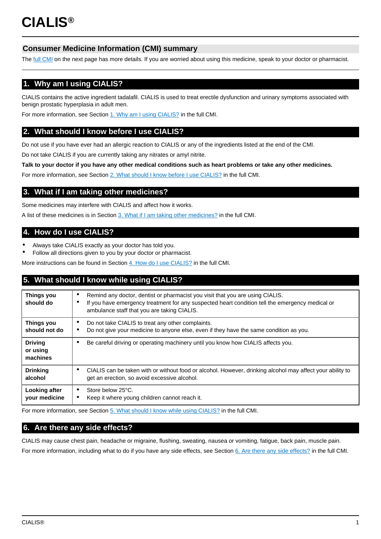# **Consumer Medicine Information (CMI) summary**

The [full CMI](#page-1-0) on the next page has more details. If you are worried about using this medicine, speak to your doctor or pharmacist.

# **1. Why am I using CIALIS?**

CIALIS contains the active ingredient tadalafil. CIALIS is used to treat erectile dysfunction and urinary symptoms associated with benign prostatic hyperplasia in adult men.

For more information, see Section [1. Why am I using CIALIS?](#page-1-1) in the full CMI.

# **2. What should I know before I use CIALIS?**

Do not use if you have ever had an allergic reaction to CIALIS or any of the ingredients listed at the end of the CMI.

Do not take CIALIS if you are currently taking any nitrates or amyl nitrite.

**Talk to your doctor if you have any other medical conditions such as heart problems or take any other medicines.**

For more information, see Section [2. What should I know before I use CIALIS?](#page-1-2) in the full CMI.

# **3. What if I am taking other medicines?**

Some medicines may interfere with CIALIS and affect how it works.

A list of these medicines is in Section [3. What if I am taking other medicines?](#page-1-3) in the full CMI.

# **4. How do I use CIALIS?**

- Always take CIALIS exactly as your doctor has told you.
- Follow all directions given to you by your doctor or pharmacist.

More instructions can be found in Section [4. How do I use CIALIS?](#page-2-0) in the full CMI.

# **5. What should I know while using CIALIS?**

| <b>Things you</b><br>should do         | Remind any doctor, dentist or pharmacist you visit that you are using CIALIS.<br>٠<br>If you have emergency treatment for any suspected heart condition tell the emergency medical or<br>٠<br>ambulance staff that you are taking CIALIS. |
|----------------------------------------|-------------------------------------------------------------------------------------------------------------------------------------------------------------------------------------------------------------------------------------------|
| <b>Things you</b><br>should not do     | Do not take CIALIS to treat any other complaints.<br>٠<br>Do not give your medicine to anyone else, even if they have the same condition as you.<br>٠                                                                                     |
| <b>Driving</b><br>or using<br>machines | Be careful driving or operating machinery until you know how CIALIS affects you.<br>٠                                                                                                                                                     |
| <b>Drinking</b><br>alcohol             | CIALIS can be taken with or without food or alcohol. However, drinking alcohol may affect your ability to<br>٠<br>get an erection, so avoid excessive alcohol.                                                                            |
| Looking after<br>your medicine         | Store below 25°C.<br>$\bullet$<br>Keep it where young children cannot reach it.<br>٠                                                                                                                                                      |

For more information, see Section [5. What should I know while using CIALIS?](#page-2-1) in the full CMI.

# **6. Are there any side effects?**

CIALIS may cause chest pain, headache or migraine, flushing, sweating, nausea or vomiting, fatigue, back pain, muscle pain. For more information, including what to do if you have any side effects, see Section [6. Are there any side effects?](#page-3-0) in the full CMI.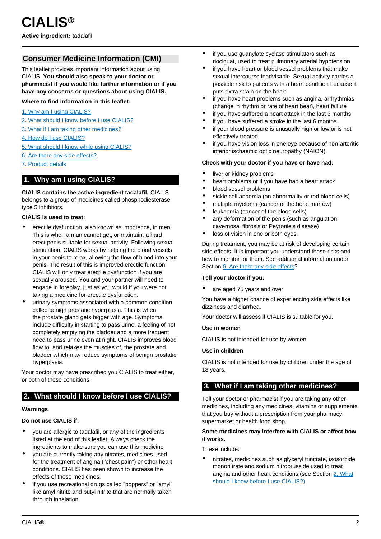# <span id="page-1-0"></span>**Consumer Medicine Information (CMI)**

This leaflet provides important information about using CIALIS. **You should also speak to your doctor or pharmacist if you would like further information or if you have any concerns or questions about using CIALIS.**

### **Where to find information in this leaflet:**

- [1. Why am I using CIALIS?](#page-1-1)
- [2. What should I know before I use CIALIS?](#page-1-2)
- [3. What if I am taking other medicines?](#page-1-3)
- [4. How do I use CIALIS?](#page-2-0)
- [5. What should I know while using CIALIS?](#page-2-1)
- [6. Are there any side effects?](#page-3-0)
- [7. Product details](#page-4-0)

### <span id="page-1-1"></span>**1. Why am I using CIALIS?**

**CIALIS contains the active ingredient tadalafil.** CIALIS belongs to a group of medicines called phosphodiesterase type 5 inhibitors.

#### **CIALIS is used to treat:**

- erectile dysfunction, also known as impotence, in men. This is when a man cannot get, or maintain, a hard erect penis suitable for sexual activity. Following sexual stimulation, CIALIS works by helping the blood vessels in your penis to relax, allowing the flow of blood into your penis. The result of this is improved erectile function. CIALIS will only treat erectile dysfunction if you are sexually aroused. You and your partner will need to engage in foreplay, just as you would if you were not taking a medicine for erectile dysfunction.
- urinary symptoms associated with a common condition called benign prostatic hyperplasia. This is when the prostate gland gets bigger with age. Symptoms include difficulty in starting to pass urine, a feeling of not completely emptying the bladder and a more frequent need to pass urine even at night. CIALIS improves blood flow to, and relaxes the muscles of, the prostate and bladder which may reduce symptoms of benign prostatic hyperplasia.

Your doctor may have prescribed you CIALIS to treat either, or both of these conditions.

## <span id="page-1-2"></span>**2. What should I know before I use CIALIS?**

#### **Warnings**

#### **Do not use CIALIS if:**

- you are allergic to tadalafil, or any of the ingredients listed at the end of this leaflet. Always check the ingredients to make sure you can use this medicine
- you are currently taking any nitrates, medicines used for the treatment of angina ("chest pain") or other heart conditions. CIALIS has been shown to increase the effects of these medicines.
- if you use recreational drugs called "poppers" or "amyl" like amyl nitrite and butyl nitrite that are normally taken through inhalation
- if you use guanylate cyclase stimulators such as riociguat, used to treat pulmonary arterial hypotension
- if you have heart or blood vessel problems that make sexual intercourse inadvisable. Sexual activity carries a possible risk to patients with a heart condition because it puts extra strain on the heart
- if you have heart problems such as angina, arrhythmias (change in rhythm or rate of heart beat), heart failure
- if you have suffered a heart attack in the last 3 months
- if you have suffered a stroke in the last 6 months
- if your blood pressure is unusually high or low or is not effectively treated
- if you have vision loss in one eye because of non-arteritic interior ischaemic optic neuropathy (NAION).

#### **Check with your doctor if you have or have had:**

- liver or kidney problems
- heart problems or if you have had a heart attack
- blood vessel problems
- sickle cell anaemia (an abnormality or red blood cells)
- multiple myeloma (cancer of the bone marrow)
- leukaemia (cancer of the blood cells)
- any deformation of the penis (such as angulation, cavernosal fibrosis or Peyronie's disease)
- loss of vision in one or both eyes.

During treatment, you may be at risk of developing certain side effects. It is important you understand these risks and how to monitor for them. See additional information under Section [6. Are there any side effects](#page-3-0)?

#### **Tell your doctor if you:**

are aged 75 years and over.

You have a higher chance of experiencing side effects like dizziness and diarrhea.

Your doctor will assess if CIALIS is suitable for you.

#### **Use in women**

CIALIS is not intended for use by women.

#### **Use in children**

CIALIS is not intended for use by children under the age of 18 years.

## <span id="page-1-3"></span>**3. What if I am taking other medicines?**

Tell your doctor or pharmacist if you are taking any other medicines, including any medicines, vitamins or supplements that you buy without a prescription from your pharmacy, supermarket or health food shop.

#### **Some medicines may interfere with CIALIS or affect how it works.**

These include:

• nitrates, medicines such as glyceryl trinitrate, isosorbide mononitrate and sodium nitroprusside used to treat angina and other heart conditions (see Section [2. What](#page-1-2) [should I know before I use CIALIS?\)](#page-1-2)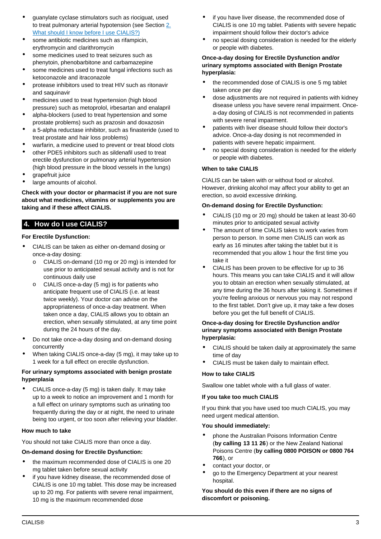- guanylate cyclase stimulators such as riociguat, used to treat pulmonary arterial hypotension (see Section [2.](#page-1-2) [What should I know before I use CIALIS?\)](#page-1-2)
- some antibiotic medicines such as rifampicin, erythromycin and clarithromycin
- some medicines used to treat seizures such as phenytoin, phenobarbitone and carbamazepine
- some medicines used to treat fungal infections such as ketoconazole and itraconazole
- protease inhibitors used to treat HIV such as ritonavir and saquinavir
- medicines used to treat hypertension (high blood pressure) such as metoprolol, irbesartan and enalapril
- alpha-blockers (used to treat hypertension and some prostate problems) such as prazosin and doxazosin
- a 5-alpha reductase inhibitor, such as finasteride (used to treat prostate and hair loss problems)
- warfarin, a medicine used to prevent or treat blood clots
- other PDE5 inhibitors such as sildenafil used to treat erectile dysfunction or pulmonary arterial hypertension (high blood pressure in the blood vessels in the lungs)
- grapefruit juice
- large amounts of alcohol.

**Check with your doctor or pharmacist if you are not sure about what medicines, vitamins or supplements you are taking and if these affect CIALIS.**

# <span id="page-2-0"></span>**4. How do I use CIALIS?**

### **For Erectile Dysfunction:**

- CIALIS can be taken as either on-demand dosing or once-a-day dosing:
	- CIALIS on-demand (10 mg or 20 mg) is intended for use prior to anticipated sexual activity and is not for continuous daily use
	- o CIALIS once-a-day (5 mg) is for patients who anticipate frequent use of CIALIS (i.e. at least twice weekly). Your doctor can advise on the appropriateness of once-a-day treatment. When taken once a day, CIALIS allows you to obtain an erection, when sexually stimulated, at any time point during the 24 hours of the day.
- Do not take once-a-day dosing and on-demand dosing concurrently
- When taking CIALIS once-a-day (5 mg), it may take up to 1 week for a full effect on erectile dysfunction.

#### **For urinary symptoms associated with benign prostate hyperplasia**

• CIALIS once-a-day (5 mg) is taken daily. It may take up to a week to notice an improvement and 1 month for a full effect on urinary symptoms such as urinating too frequently during the day or at night, the need to urinate being too urgent, or too soon after relieving your bladder.

#### **How much to take**

You should not take CIALIS more than once a day.

## **On-demand dosing for Erectile Dysfunction:**

- the maximum recommended dose of CIALIS is one 20 mg tablet taken before sexual activity
- if you have kidney disease, the recommended dose of CIALIS is one 10 mg tablet. This dose may be increased up to 20 mg. For patients with severe renal impairment, 10 mg is the maximum recommended dose
- if you have liver disease, the recommended dose of CIALIS is one 10 mg tablet. Patients with severe hepatic impairment should follow their doctor's advice
- no special dosing consideration is needed for the elderly or people with diabetes.

### **Once-a-day dosing for Erectile Dysfunction and/or urinary symptoms associated with Benign Prostate hyperplasia:**

- the recommended dose of CIALIS is one 5 mg tablet taken once per day
- dose adjustments are not required in patients with kidney disease unless you have severe renal impairment. Oncea-day dosing of CIALIS is not recommended in patients with severe renal impairment.
- patients with liver disease should follow their doctor's advice. Once-a-day dosing is not recommended in patients with severe hepatic impairment.
- no special dosing consideration is needed for the elderly or people with diabetes.

### **When to take CIALIS**

CIALIS can be taken with or without food or alcohol. However, drinking alcohol may affect your ability to get an erection, so avoid excessive drinking.

### **On-demand dosing for Erectile Dysfunction:**

- CIALIS (10 mg or 20 mg) should be taken at least 30-60 minutes prior to anticipated sexual activity
- The amount of time CIALIS takes to work varies from person to person. In some men CIALIS can work as early as 16 minutes after taking the tablet but it is recommended that you allow 1 hour the first time you take it
- CIALIS has been proven to be effective for up to 36 hours. This means you can take CIALIS and it will allow you to obtain an erection when sexually stimulated, at any time during the 36 hours after taking it. Sometimes if you're feeling anxious or nervous you may not respond to the first tablet. Don't give up, it may take a few doses before you get the full benefit of CIALIS.

### **Once-a-day dosing for Erectile Dysfunction and/or urinary symptoms associated with Benign Prostate hyperplasia:**

- CIALIS should be taken daily at approximately the same time of day
- CIALIS must be taken daily to maintain effect.

#### **How to take CIALIS**

Swallow one tablet whole with a full glass of water.

#### **If you take too much CIALIS**

If you think that you have used too much CIALIS, you may need urgent medical attention.

#### **You should immediately:**

- phone the Australian Poisons Information Centre (**by calling 13 11 26**) or the New Zealand National Poisons Centre (**by calling 0800 POISON or 0800 764 766**), or
- contact your doctor, or
- go to the Emergency Department at your nearest hospital.

<span id="page-2-1"></span>**You should do this even if there are no signs of discomfort or poisoning.**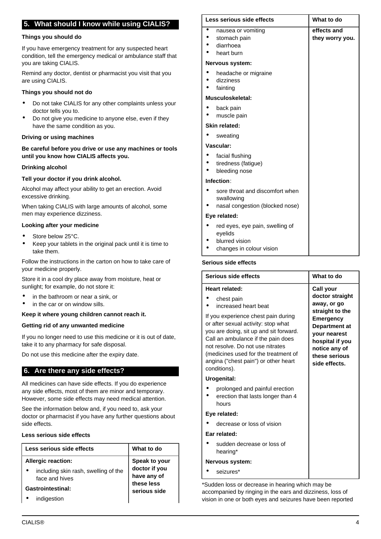## **5. What should I know while using CIALIS?**

#### **Things you should do**

If you have emergency treatment for any suspected heart condition, tell the emergency medical or ambulance staff that you are taking CIALIS.

Remind any doctor, dentist or pharmacist you visit that you are using CIALIS.

#### **Things you should not do**

- Do not take CIALIS for any other complaints unless your doctor tells you to.
- Do not give you medicine to anyone else, even if they have the same condition as you.

#### **Driving or using machines**

### **Be careful before you drive or use any machines or tools until you know how CIALIS affects you.**

#### **Drinking alcohol**

#### **Tell your doctor if you drink alcohol.**

Alcohol may affect your ability to get an erection. Avoid excessive drinking.

When taking CIALIS with large amounts of alcohol, some men may experience dizziness.

#### **Looking after your medicine**

- Store below 25°C.
- Keep your tablets in the original pack until it is time to take them.

Follow the instructions in the carton on how to take care of your medicine properly.

Store it in a cool dry place away from moisture, heat or sunlight; for example, do not store it:

- in the bathroom or near a sink, or
- in the car or on window sills.

#### **Keep it where young children cannot reach it.**

#### **Getting rid of any unwanted medicine**

If you no longer need to use this medicine or it is out of date, take it to any pharmacy for safe disposal.

Do not use this medicine after the expiry date.

## <span id="page-3-0"></span>**6. Are there any side effects?**

All medicines can have side effects. If you do experience any side effects, most of them are minor and temporary. However, some side effects may need medical attention.

See the information below and, if you need to, ask your doctor or pharmacist if you have any further questions about side effects.

### **Less serious side effects**

| Less serious side effects                                                           | What to do                                                  |
|-------------------------------------------------------------------------------------|-------------------------------------------------------------|
| <b>Allergic reaction:</b><br>including skin rash, swelling of the<br>face and hives | Speak to your<br>doctor if you<br>have any of<br>these less |
| Gastrointestinal:<br>indigestion                                                    | serious side                                                |

| Less serious side effects |                                                                                          | What to do                     |  |
|---------------------------|------------------------------------------------------------------------------------------|--------------------------------|--|
| $\bullet$                 | nausea or vomiting<br>stomach pain<br>diarrhoea<br>heart burn                            | effects and<br>they worry you. |  |
|                           | Nervous system:                                                                          |                                |  |
|                           | headache or migraine<br>dizziness<br>fainting                                            |                                |  |
|                           | Musculoskeletal:                                                                         |                                |  |
|                           | back pain<br>muscle pain                                                                 |                                |  |
|                           | <b>Skin related:</b>                                                                     |                                |  |
|                           | sweating                                                                                 |                                |  |
|                           | Vascular:                                                                                |                                |  |
|                           | facial flushing<br>tiredness (fatigue)<br>bleeding nose                                  |                                |  |
|                           | Infection:                                                                               |                                |  |
|                           | sore throat and discomfort when<br>swallowing<br>nasal congestion (blocked nose)         |                                |  |
|                           | Eye related:                                                                             |                                |  |
|                           | red eyes, eye pain, swelling of<br>eyelids<br>blurred vision<br>changes in colour vision |                                |  |

| Serious side effects                                                                                                                                                                                                                                                                           | What to do                                                                                                       |  |  |  |
|------------------------------------------------------------------------------------------------------------------------------------------------------------------------------------------------------------------------------------------------------------------------------------------------|------------------------------------------------------------------------------------------------------------------|--|--|--|
| Heart related:                                                                                                                                                                                                                                                                                 | Call your                                                                                                        |  |  |  |
| chest pain<br>increased heart beat                                                                                                                                                                                                                                                             | doctor straight<br>away, or go<br>straight to the                                                                |  |  |  |
| If you experience chest pain during<br>or after sexual activity: stop what<br>you are doing, sit up and sit forward.<br>Call an ambulance if the pain does<br>not resolve. Do not use nitrates<br>(medicines used for the treatment of<br>angina ("chest pain") or other heart<br>conditions). | Emergency<br>Department at<br>your nearest<br>hospital if you<br>notice any of<br>these serious<br>side effects. |  |  |  |
| Urogenital:                                                                                                                                                                                                                                                                                    |                                                                                                                  |  |  |  |
| prolonged and painful erection<br>erection that lasts longer than 4<br>hours                                                                                                                                                                                                                   |                                                                                                                  |  |  |  |
| Eye related:                                                                                                                                                                                                                                                                                   |                                                                                                                  |  |  |  |
| decrease or loss of vision                                                                                                                                                                                                                                                                     |                                                                                                                  |  |  |  |
| Ear related:                                                                                                                                                                                                                                                                                   |                                                                                                                  |  |  |  |
| sudden decrease or loss of<br>hearing*                                                                                                                                                                                                                                                         |                                                                                                                  |  |  |  |
|                                                                                                                                                                                                                                                                                                |                                                                                                                  |  |  |  |

### **Nervous system:**

• seizures\*

\*Sudden loss or decrease in hearing which may be accompanied by ringing in the ears and dizziness, loss of vision in one or both eyes and seizures have been reported